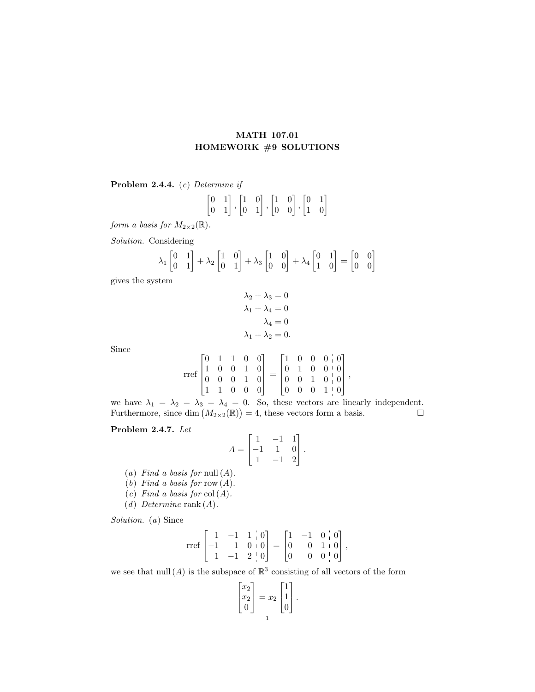## MATH 107.01 HOMEWORK #9 SOLUTIONS

Problem 2.4.4. (c) Determine if

$$
\begin{bmatrix} 0 & 1 \\ 0 & 1 \end{bmatrix}, \begin{bmatrix} 1 & 0 \\ 0 & 1 \end{bmatrix}, \begin{bmatrix} 1 & 0 \\ 0 & 0 \end{bmatrix}, \begin{bmatrix} 0 & 1 \\ 1 & 0 \end{bmatrix}
$$

form a basis for  $M_{2\times2}(\mathbb{R})$ .

Solution. Considering

$$
\lambda_1 \begin{bmatrix} 0 & 1 \\ 0 & 1 \end{bmatrix} + \lambda_2 \begin{bmatrix} 1 & 0 \\ 0 & 1 \end{bmatrix} + \lambda_3 \begin{bmatrix} 1 & 0 \\ 0 & 0 \end{bmatrix} + \lambda_4 \begin{bmatrix} 0 & 1 \\ 1 & 0 \end{bmatrix} = \begin{bmatrix} 0 & 0 \\ 0 & 0 \end{bmatrix}
$$

gives the system

$$
\lambda_2 + \lambda_3 = 0
$$
  

$$
\lambda_1 + \lambda_4 = 0
$$
  

$$
\lambda_4 = 0
$$
  

$$
\lambda_1 + \lambda_2 = 0.
$$

Since

$$
\operatorname{rref}\begin{bmatrix} 0 & 1 & 1 & 0 & | & 0 \\ 1 & 0 & 0 & 1 & | & 0 \\ 0 & 0 & 0 & 1 & | & 0 \\ 1 & 1 & 0 & 0 & | & 0 \end{bmatrix}=\begin{bmatrix} 1 & 0 & 0 & 0 & | & 0 \\ 0 & 1 & 0 & 0 & | & 0 \\ 0 & 0 & 1 & 0 & | & 0 \\ 0 & 0 & 0 & 1 & | & 0 \end{bmatrix},
$$

we have  $\lambda_1 = \lambda_2 = \lambda_3 = \lambda_4 = 0$ . So, these vectors are linearly independent. Furthermore, since dim  $(M_{2\times2}(\mathbb{R}))=4$ , these vectors form a basis.

## Problem 2.4.7. Let

$$
A = \begin{bmatrix} 1 & -1 & 1 \\ -1 & 1 & 0 \\ 1 & -1 & 2 \end{bmatrix}.
$$

(a) Find a basis for null  $(A)$ .

 $\overline{a}$ 

- (b) Find a basis for row  $(A)$ .
- (c) Find a basis for  $col(A)$ .
- (d) Determine rank  $(A)$ .

Solution. (a) Since

$$
\text{rref}\begin{bmatrix} 1 & -1 & 1 & | & 0 \\ -1 & 1 & 0 & | & 0 \\ 1 & -1 & 2 & | & 0 \end{bmatrix} = \begin{bmatrix} 1 & -1 & 0 & | & 0 \\ 0 & 0 & 1 & | & 0 \\ 0 & 0 & 0 & | & 0 \end{bmatrix},
$$

we see that  $null(A)$  is the subspace of  $\mathbb{R}^3$  consisting of all vectors of the form

$$
\begin{bmatrix} x_2 \\ x_2 \\ 0 \end{bmatrix} = x_2 \begin{bmatrix} 1 \\ 1 \\ 0 \end{bmatrix}.
$$